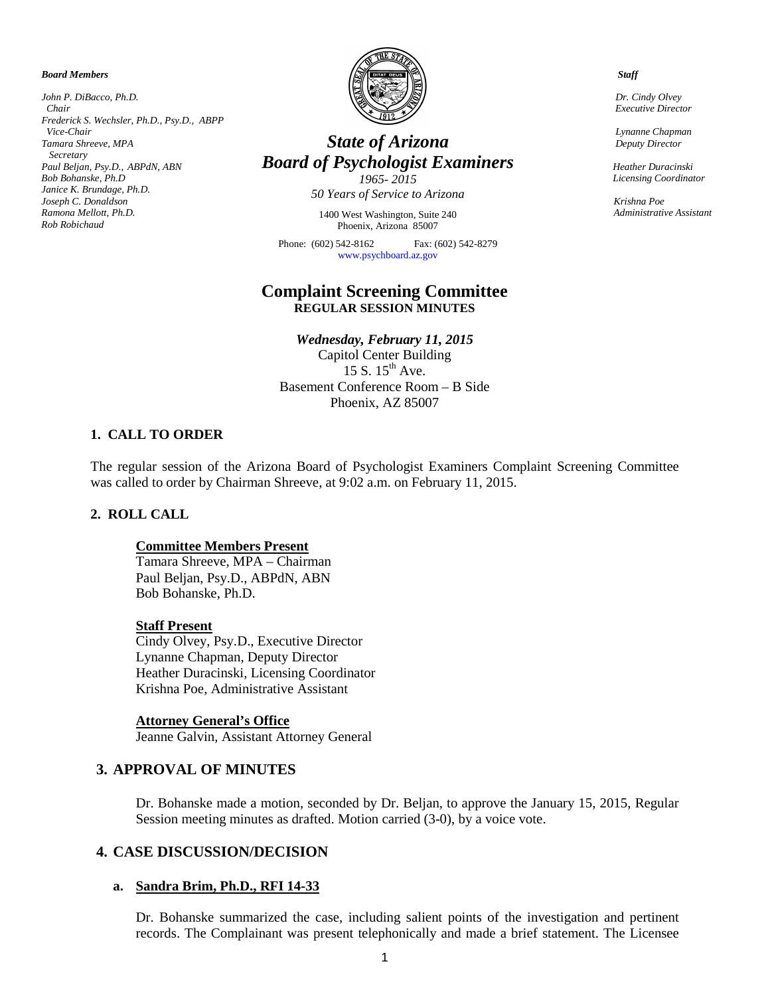*Board Members*

*John P. DiBacco, Ph.D. Chair Frederick S. Wechsler, Ph.D., Psy.D., ABPP Vice-Chair Tamara Shreeve, MPA Secretary Paul Beljan, Psy.D.*, *ABPdN, ABN Bob Bohanske, Ph.D Janice K. Brundage, Ph.D. Joseph C. Donaldson Ramona Mellott, Ph.D. Rob Robichaud*



# *State of Arizona Board of Psychologist Examiners*

*1965- 2015 50 Years of Service to Arizona*

1400 West Washington, Suite 240 Phoenix, Arizona 85007

Phone: (602) 542-8162 Fax: (602) 542-8279 [www.psychboard.az.gov](http://www.psychboard.az.gov/) 

# **Complaint Screening Committee REGULAR SESSION MINUTES**

*Wednesday, February 11, 2015* Capitol Center Building 15 S.  $15^{th}$  Ave. Basement Conference Room – B Side Phoenix, AZ 85007

## **1. CALL TO ORDER**

The regular session of the Arizona Board of Psychologist Examiners Complaint Screening Committee was called to order by Chairman Shreeve, at 9:02 a.m. on February 11, 2015.

## **2. ROLL CALL**

## **Committee Members Present**

Tamara Shreeve, MPA – Chairman Paul Beljan, Psy.D., ABPdN, ABN Bob Bohanske, Ph.D.

#### **Staff Present**

Cindy Olvey, Psy.D., Executive Director Lynanne Chapman, Deputy Director Heather Duracinski, Licensing Coordinator Krishna Poe, Administrative Assistant

#### **Attorney General's Office**

Jeanne Galvin, Assistant Attorney General

# **3. APPROVAL OF MINUTES**

Dr. Bohanske made a motion, seconded by Dr. Beljan, to approve the January 15, 2015, Regular Session meeting minutes as drafted. Motion carried (3-0), by a voice vote.

## **4. CASE DISCUSSION/DECISION**

#### **a. Sandra Brim, Ph.D., RFI 14-33**

Dr. Bohanske summarized the case, including salient points of the investigation and pertinent records. The Complainant was present telephonically and made a brief statement. The Licensee

 *Staff*

 *Dr. Cindy Olvey Executive Director*

 *Lynanne Chapman Deputy Director*

 *Heather Duracinski Licensing Coordinator*

*Krishna Poe Administrative Assistant*